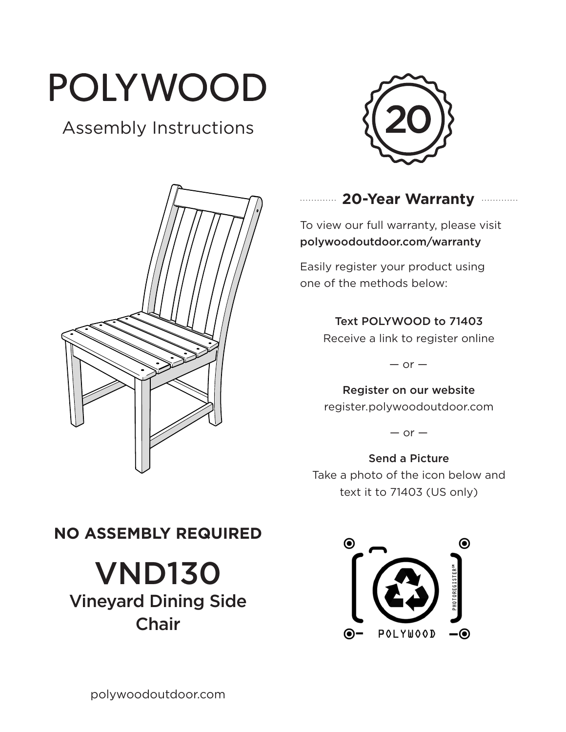# POLYWOOD

# Assembly Instructions





## **20-Year Warranty**

To view our full warranty, please visit polywoodoutdoor.com/warranty

Easily register your product using one of the methods below:

#### Text POLYWOOD to 71403

Receive a link to register online

 $-$  or  $-$ 

Register on our website register.polywoodoutdoor.com

 $-$  or  $-$ 

Send a Picture Take a photo of the icon below and text it to 71403 (US only)

# **NO ASSEMBLY REQUIRED**

VND130 Vineyard Dining Side Chair